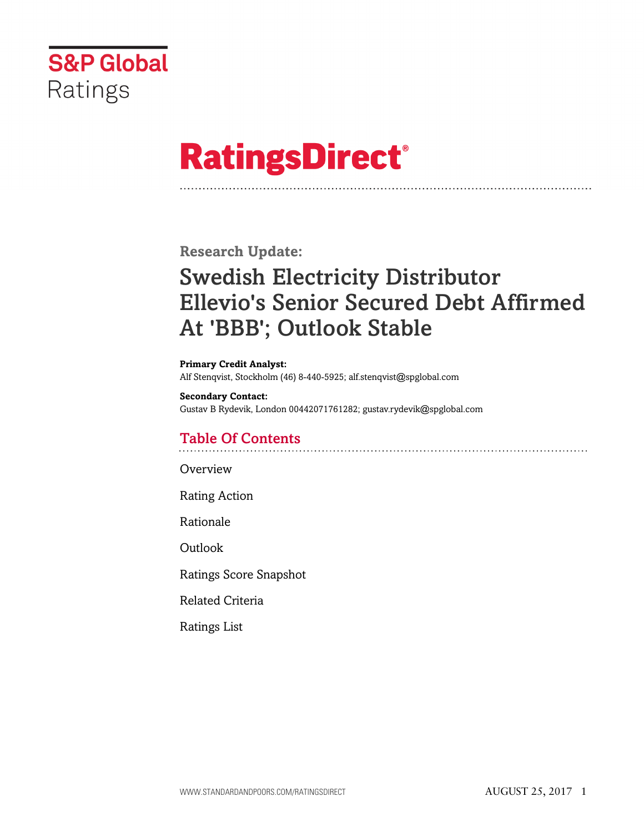

# **RatingsDirect®**

**Research Update:**

## Swedish Electricity Distributor Ellevio's Senior Secured Debt Affirmed At 'BBB'; Outlook Stable

**Primary Credit Analyst:** Alf Stenqvist, Stockholm (46) 8-440-5925; alf.stenqvist@spglobal.com

**Secondary Contact:** Gustav B Rydevik, London 00442071761282; gustav.rydevik@spglobal.com

## Table Of Contents

[Overview](#page-1-0)

[Rating Action](#page-1-1)

[Rationale](#page-1-2)

[Outlook](#page-4-0)

[Ratings Score Snapshot](#page-5-0)

[Related Criteria](#page-5-1)

[Ratings List](#page-6-0)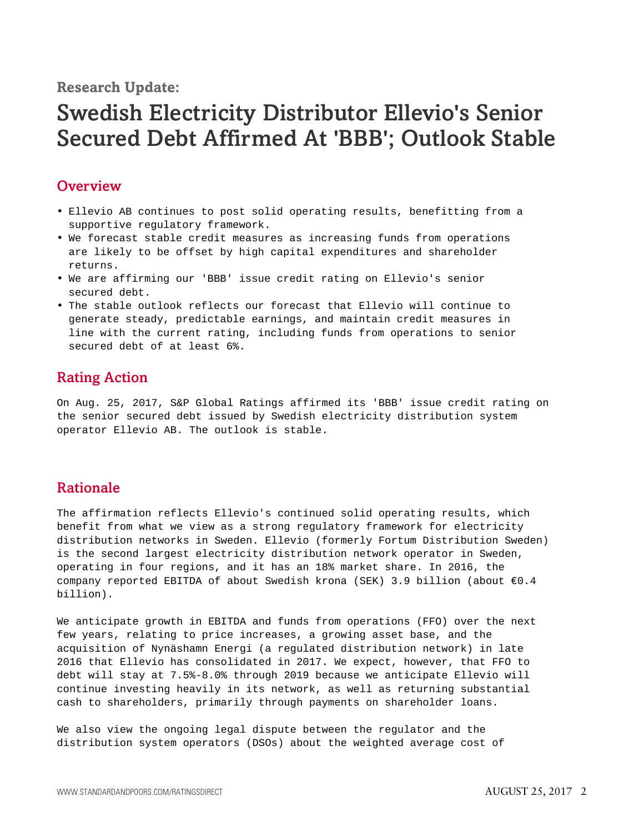**Research Update:**

## Swedish Electricity Distributor Ellevio's Senior Secured Debt Affirmed At 'BBB'; Outlook Stable

## <span id="page-1-0"></span>**Overview**

- Ellevio AB continues to post solid operating results, benefitting from a supportive regulatory framework.
- We forecast stable credit measures as increasing funds from operations are likely to be offset by high capital expenditures and shareholder returns.
- We are affirming our 'BBB' issue credit rating on Ellevio's senior secured debt.
- The stable outlook reflects our forecast that Ellevio will continue to generate steady, predictable earnings, and maintain credit measures in line with the current rating, including funds from operations to senior secured debt of at least 6%.

## <span id="page-1-1"></span>Rating Action

On Aug. 25, 2017, S&P Global Ratings affirmed its 'BBB' issue credit rating on the senior secured debt issued by Swedish electricity distribution system operator Ellevio AB. The outlook is stable.

## <span id="page-1-2"></span>Rationale

The affirmation reflects Ellevio's continued solid operating results, which benefit from what we view as a strong regulatory framework for electricity distribution networks in Sweden. Ellevio (formerly Fortum Distribution Sweden) is the second largest electricity distribution network operator in Sweden, operating in four regions, and it has an 18% market share. In 2016, the company reported EBITDA of about Swedish krona (SEK) 3.9 billion (about  $\epsilon$ 0.4 billion).

We anticipate growth in EBITDA and funds from operations (FFO) over the next few years, relating to price increases, a growing asset base, and the acquisition of Nynäshamn Energi (a regulated distribution network) in late 2016 that Ellevio has consolidated in 2017. We expect, however, that FFO to debt will stay at 7.5%-8.0% through 2019 because we anticipate Ellevio will continue investing heavily in its network, as well as returning substantial cash to shareholders, primarily through payments on shareholder loans.

We also view the ongoing legal dispute between the regulator and the distribution system operators (DSOs) about the weighted average cost of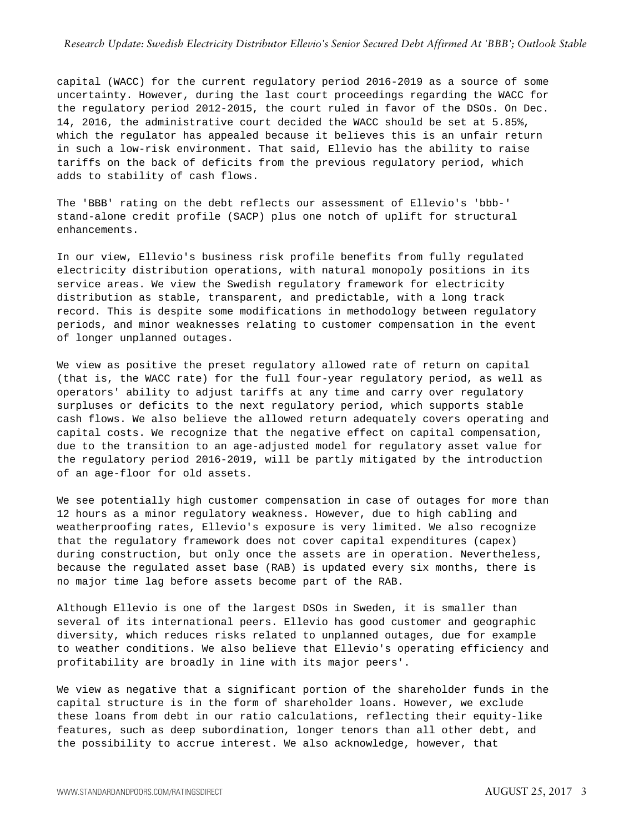#### *Research Update: Swedish Electricity Distributor Ellevio's Senior Secured Debt Affirmed At 'BBB'; Outlook Stable*

capital (WACC) for the current regulatory period 2016-2019 as a source of some uncertainty. However, during the last court proceedings regarding the WACC for the regulatory period 2012-2015, the court ruled in favor of the DSOs. On Dec. 14, 2016, the administrative court decided the WACC should be set at 5.85%, which the regulator has appealed because it believes this is an unfair return in such a low-risk environment. That said, Ellevio has the ability to raise tariffs on the back of deficits from the previous regulatory period, which adds to stability of cash flows.

The 'BBB' rating on the debt reflects our assessment of Ellevio's 'bbb-' stand-alone credit profile (SACP) plus one notch of uplift for structural enhancements.

In our view, Ellevio's business risk profile benefits from fully regulated electricity distribution operations, with natural monopoly positions in its service areas. We view the Swedish regulatory framework for electricity distribution as stable, transparent, and predictable, with a long track record. This is despite some modifications in methodology between regulatory periods, and minor weaknesses relating to customer compensation in the event of longer unplanned outages.

We view as positive the preset regulatory allowed rate of return on capital (that is, the WACC rate) for the full four-year regulatory period, as well as operators' ability to adjust tariffs at any time and carry over regulatory surpluses or deficits to the next regulatory period, which supports stable cash flows. We also believe the allowed return adequately covers operating and capital costs. We recognize that the negative effect on capital compensation, due to the transition to an age-adjusted model for regulatory asset value for the regulatory period 2016-2019, will be partly mitigated by the introduction of an age-floor for old assets.

We see potentially high customer compensation in case of outages for more than 12 hours as a minor regulatory weakness. However, due to high cabling and weatherproofing rates, Ellevio's exposure is very limited. We also recognize that the regulatory framework does not cover capital expenditures (capex) during construction, but only once the assets are in operation. Nevertheless, because the regulated asset base (RAB) is updated every six months, there is no major time lag before assets become part of the RAB.

Although Ellevio is one of the largest DSOs in Sweden, it is smaller than several of its international peers. Ellevio has good customer and geographic diversity, which reduces risks related to unplanned outages, due for example to weather conditions. We also believe that Ellevio's operating efficiency and profitability are broadly in line with its major peers'.

We view as negative that a significant portion of the shareholder funds in the capital structure is in the form of shareholder loans. However, we exclude these loans from debt in our ratio calculations, reflecting their equity-like features, such as deep subordination, longer tenors than all other debt, and the possibility to accrue interest. We also acknowledge, however, that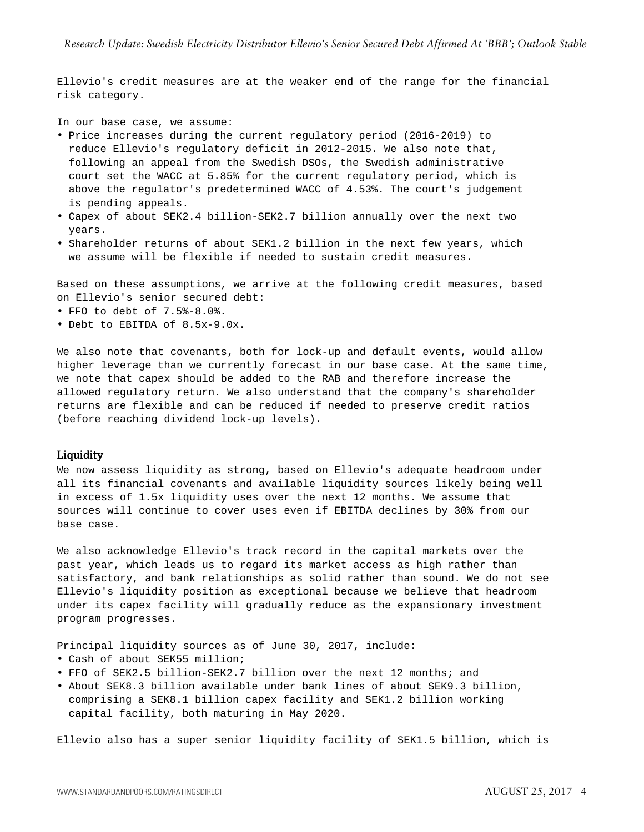Ellevio's credit measures are at the weaker end of the range for the financial risk category.

In our base case, we assume:

- Price increases during the current regulatory period (2016-2019) to reduce Ellevio's regulatory deficit in 2012-2015. We also note that, following an appeal from the Swedish DSOs, the Swedish administrative court set the WACC at 5.85% for the current regulatory period, which is above the regulator's predetermined WACC of 4.53%. The court's judgement is pending appeals.
- Capex of about SEK2.4 billion-SEK2.7 billion annually over the next two years.
- Shareholder returns of about SEK1.2 billion in the next few years, which we assume will be flexible if needed to sustain credit measures.

Based on these assumptions, we arrive at the following credit measures, based on Ellevio's senior secured debt:

- FFO to debt of 7.5%-8.0%.
- Debt to EBITDA of 8.5x-9.0x.

We also note that covenants, both for lock-up and default events, would allow higher leverage than we currently forecast in our base case. At the same time, we note that capex should be added to the RAB and therefore increase the allowed regulatory return. We also understand that the company's shareholder returns are flexible and can be reduced if needed to preserve credit ratios (before reaching dividend lock-up levels).

#### Liquidity

We now assess liquidity as strong, based on Ellevio's adequate headroom under all its financial covenants and available liquidity sources likely being well in excess of 1.5x liquidity uses over the next 12 months. We assume that sources will continue to cover uses even if EBITDA declines by 30% from our base case.

We also acknowledge Ellevio's track record in the capital markets over the past year, which leads us to regard its market access as high rather than satisfactory, and bank relationships as solid rather than sound. We do not see Ellevio's liquidity position as exceptional because we believe that headroom under its capex facility will gradually reduce as the expansionary investment program progresses.

Principal liquidity sources as of June 30, 2017, include:

- Cash of about SEK55 million;
- FFO of SEK2.5 billion-SEK2.7 billion over the next 12 months; and
- About SEK8.3 billion available under bank lines of about SEK9.3 billion, comprising a SEK8.1 billion capex facility and SEK1.2 billion working capital facility, both maturing in May 2020.

Ellevio also has a super senior liquidity facility of SEK1.5 billion, which is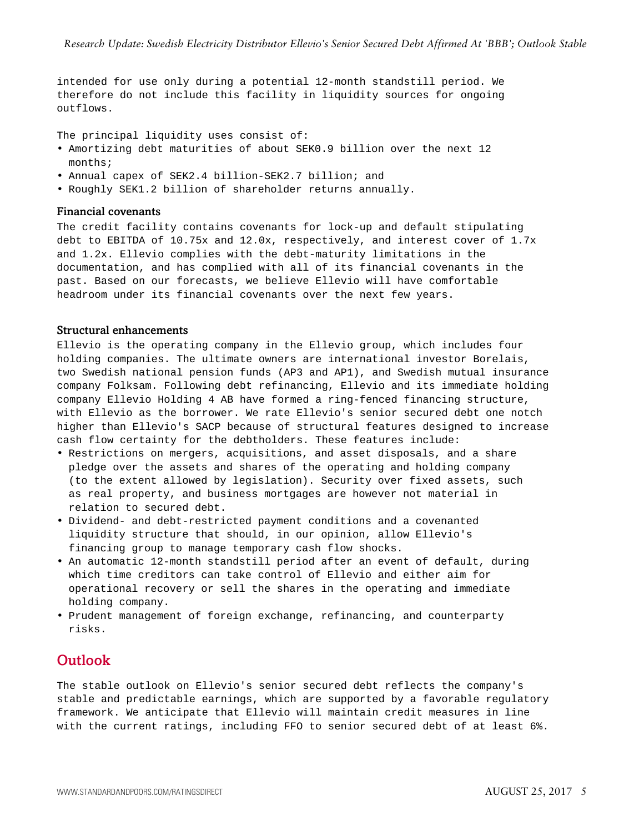intended for use only during a potential 12-month standstill period. We therefore do not include this facility in liquidity sources for ongoing outflows.

The principal liquidity uses consist of:

- Amortizing debt maturities of about SEK0.9 billion over the next 12 months;
- Annual capex of SEK2.4 billion-SEK2.7 billion; and
- Roughly SEK1.2 billion of shareholder returns annually.

#### Financial covenants

The credit facility contains covenants for lock-up and default stipulating debt to EBITDA of 10.75x and 12.0x, respectively, and interest cover of 1.7x and 1.2x. Ellevio complies with the debt-maturity limitations in the documentation, and has complied with all of its financial covenants in the past. Based on our forecasts, we believe Ellevio will have comfortable headroom under its financial covenants over the next few years.

#### Structural enhancements

Ellevio is the operating company in the Ellevio group, which includes four holding companies. The ultimate owners are international investor Borelais, two Swedish national pension funds (AP3 and AP1), and Swedish mutual insurance company Folksam. Following debt refinancing, Ellevio and its immediate holding company Ellevio Holding 4 AB have formed a ring-fenced financing structure, with Ellevio as the borrower. We rate Ellevio's senior secured debt one notch higher than Ellevio's SACP because of structural features designed to increase cash flow certainty for the debtholders. These features include:

- Restrictions on mergers, acquisitions, and asset disposals, and a share pledge over the assets and shares of the operating and holding company (to the extent allowed by legislation). Security over fixed assets, such as real property, and business mortgages are however not material in relation to secured debt.
- Dividend- and debt-restricted payment conditions and a covenanted liquidity structure that should, in our opinion, allow Ellevio's financing group to manage temporary cash flow shocks.
- An automatic 12-month standstill period after an event of default, during which time creditors can take control of Ellevio and either aim for operational recovery or sell the shares in the operating and immediate holding company.
- <span id="page-4-0"></span>• Prudent management of foreign exchange, refinancing, and counterparty risks.

### Outlook

The stable outlook on Ellevio's senior secured debt reflects the company's stable and predictable earnings, which are supported by a favorable regulatory framework. We anticipate that Ellevio will maintain credit measures in line with the current ratings, including FFO to senior secured debt of at least 6%.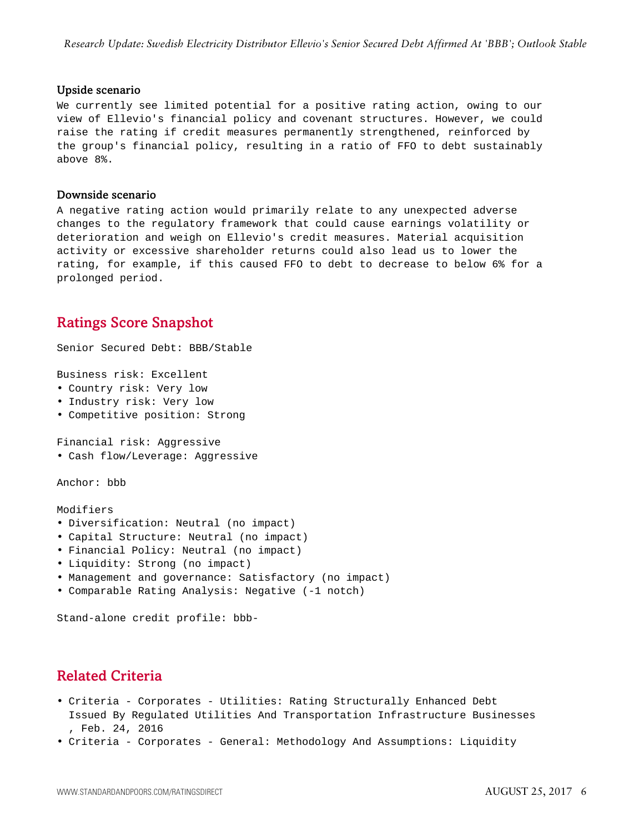#### Upside scenario

We currently see limited potential for a positive rating action, owing to our view of Ellevio's financial policy and covenant structures. However, we could raise the rating if credit measures permanently strengthened, reinforced by the group's financial policy, resulting in a ratio of FFO to debt sustainably above 8%.

#### Downside scenario

A negative rating action would primarily relate to any unexpected adverse changes to the regulatory framework that could cause earnings volatility or deterioration and weigh on Ellevio's credit measures. Material acquisition activity or excessive shareholder returns could also lead us to lower the rating, for example, if this caused FFO to debt to decrease to below 6% for a prolonged period.

### <span id="page-5-0"></span>Ratings Score Snapshot

Senior Secured Debt: BBB/Stable

Business risk: Excellent

- Country risk: Very low
- Industry risk: Very low
- Competitive position: Strong

Financial risk: Aggressive

• Cash flow/Leverage: Aggressive

Anchor: bbb

Modifiers

- Diversification: Neutral (no impact)
- Capital Structure: Neutral (no impact)
- Financial Policy: Neutral (no impact)
- Liquidity: Strong (no impact)
- Management and governance: Satisfactory (no impact)
- Comparable Rating Analysis: Negative (-1 notch)

Stand-alone credit profile: bbb-

## <span id="page-5-1"></span>Related Criteria

- Criteria Corporates Utilities: Rating Structurally Enhanced Debt Issued By Regulated Utilities And Transportation Infrastructure Businesses , Feb. 24, 2016
- Criteria Corporates General: Methodology And Assumptions: Liquidity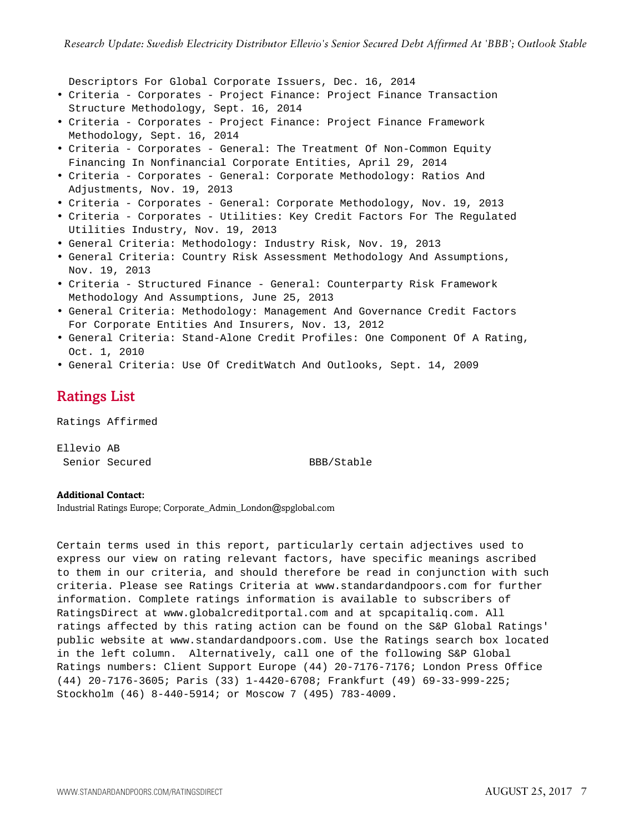Descriptors For Global Corporate Issuers, Dec. 16, 2014

- Criteria Corporates Project Finance: Project Finance Transaction Structure Methodology, Sept. 16, 2014
- Criteria Corporates Project Finance: Project Finance Framework Methodology, Sept. 16, 2014
- Criteria Corporates General: The Treatment Of Non-Common Equity Financing In Nonfinancial Corporate Entities, April 29, 2014
- Criteria Corporates General: Corporate Methodology: Ratios And Adjustments, Nov. 19, 2013
- Criteria Corporates General: Corporate Methodology, Nov. 19, 2013
- Criteria Corporates Utilities: Key Credit Factors For The Regulated Utilities Industry, Nov. 19, 2013
- General Criteria: Methodology: Industry Risk, Nov. 19, 2013
- General Criteria: Country Risk Assessment Methodology And Assumptions, Nov. 19, 2013
- Criteria Structured Finance General: Counterparty Risk Framework Methodology And Assumptions, June 25, 2013
- General Criteria: Methodology: Management And Governance Credit Factors For Corporate Entities And Insurers, Nov. 13, 2012
- General Criteria: Stand-Alone Credit Profiles: One Component Of A Rating, Oct. 1, 2010
- <span id="page-6-0"></span>• General Criteria: Use Of CreditWatch And Outlooks, Sept. 14, 2009

## Ratings List

Ratings Affirmed

Ellevio AB Senior Secured BBB/Stable

#### **Additional Contact:**

Industrial Ratings Europe; Corporate\_Admin\_London@spglobal.com

Certain terms used in this report, particularly certain adjectives used to express our view on rating relevant factors, have specific meanings ascribed to them in our criteria, and should therefore be read in conjunction with such criteria. Please see Ratings Criteria at www.standardandpoors.com for further information. Complete ratings information is available to subscribers of RatingsDirect at www.globalcreditportal.com and at spcapitaliq.com. All ratings affected by this rating action can be found on the S&P Global Ratings' public website at www.standardandpoors.com. Use the Ratings search box located in the left column. Alternatively, call one of the following S&P Global Ratings numbers: Client Support Europe (44) 20-7176-7176; London Press Office (44) 20-7176-3605; Paris (33) 1-4420-6708; Frankfurt (49) 69-33-999-225; Stockholm (46) 8-440-5914; or Moscow 7 (495) 783-4009.